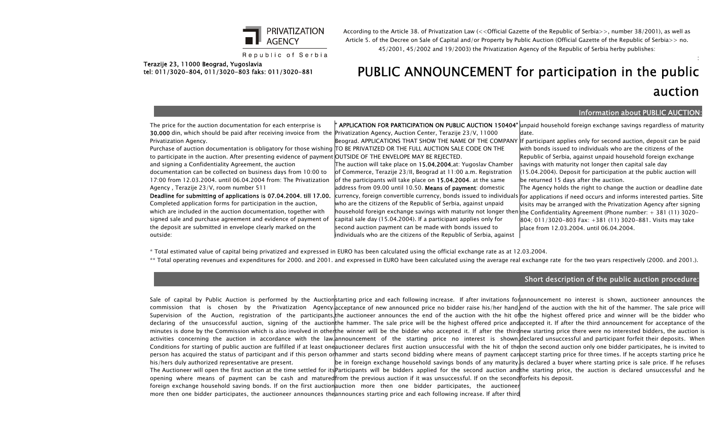

Republic of Serbia

According to the Article 38. of Privatization Law (<<Official Gazette of the Republic of Serbia>>, number 38/2001), as well as Article 5. of the Decree on Sale of Capital and/or Property by Public Auction (Official Gazette of the Republic of Serbia>> no. 45/2001, 45/2002 and 19/2003) the Privatization Agency of the Republic of Serbia herby publishes:

#### Terazije 23, 11000 Beograd, Yugoslavia tel: 011/3020-804, 011/3020-803 faks: 011/3020-881

# PUBLIC ANNOUNCEMENT for participation in the public

## auction

:

#### Information about PUBLIC AUCTION:

The price for the auction documentation for each enterprise is 30.000 din, which should be paid after receiving invoice from the Privatization Agency, Auction Center, Terazije 23/V, 11000 Privatization Agency.

Purchase of auction documentation is obligatory for those wishing TO BE PRIVATIZED OR THE FULL AUCTION SALE CODE ON THE to participate in the auction. After presenting evidence of payment OUTSIDE OF THE ENVELOPE MAY BE REJECTED.

and signing a Confidentiality Agreement, the auction documentation can be collected on business days from 10:00 to 17:00 from 12.03.2004. until 06.04.2004 from: The Privatization Agency , Terazije 23/V, room number 511

Deadline for submitting of applications is 07.04.2004. till 17.00. Completed application forms for participation in the auction, which are included in the auction documentation, together with signed sale and purchase agreement and evidence of payment of the deposit are submitted in envelope clearly marked on the outside:

**" APPLICATION FOR PARTICIPATION ON PUBLIC AUCTION 150404"** µnpaid household foreign exchange savings regardless of maturity

The auction will take place on 15.04.2004.at: Yugoslav Chamber of Commerce, Terazije 23/II, Beograd at 11:00 a.m. Registration of the participants will take place on 15.04.2004. at the same address from 09.00 until 10.50. Means of payment: domestic who are the citizens of the Republic of Serbia, against unpaid household foreign exchange savings with maturity not longer then the Confidentiality Agreement (Phone number: + 381 (11) 3020– capital sale day (15.04.2004). If a participant applies only for second auction payment can be made with bonds issued to individuals who are the citizens of the Republic of Serbia, against

date.

Beograd. APPLICATIONS THAT SHOW THE NAME OF THE COMPANY If participant applies only for second auction, deposit can be paid with bonds issued to individuals who are the citizens of the Republic of Serbia, against unpaid household foreign exchange savings with maturity not longer then capital sale day (15.04.2004). Deposit for participation at the public auction will be returned 15 days after the auction. The Agency holds the right to change the auction or deadline date

currency, foreign convertible currency, bonds issued to individuals for applications if need occurs and informs interested parties. Site visits may be arranged with the Privatization Agency after signing 804; 011/3020-803 Fax: +381 (11) 3020-881. Visits may take place from 12.03.2004. until 06.04.2004.

\* Total estimated value of capital being privatized and expressed in EURO has been calculated using the official exchange rate as at 12.03.2004.

\*\* Total operating revenues and expenditures for 2000. and 2001. and expressed in EURO have been calculated using the average real exchange rate for the two years respectively (2000. and 2001.).

#### Short description of the public auction procedure:

Sale of capital by Public Auction is performed by the Auctionstarting price and each following increase. If after invitations forannouncement no interest is shown, auctioneer announces the commission that is chosen by the Privatization Agency.acceptance of new announced price no bidder raise his/her hand,end of the auction with the hit of the hammer. The sale price will Supervision of the Auction, registration of the participants,¦the auctioneer announces the end of the auction with the hit of|be the highest offered price and winner will be the bidder who declaring of the unsuccessful auction, signing of the auctionthe hammer. The sale price will be the highest offered price andaccepted it. If after the third announcement for acceptance of the minutes is done by the Commission which is also involved in otherthe winner will be the bidder who accepted it. If after the thirdhew starting price there were no interested bidders, the auction is activities concerning the auction in accordance with the law.announcement of the starting price no interest is shown,declared…unsuccessful-and-participant-forfeit-their-deposits. When Conditions for starting of public auction are fulfilled if at least oneauctioneer declares first auction unsuccessful with the hit of theon the second auction only one bidder participates, he is invited to person has acquired the status of participant and if this person or|hammer and starts second bidding where means of payment can|accept starting price for three times. If he accepts starting price he his/hers duly authorized representative are present. The Auctioneer will open the first auction at the time settled for its|Participants will be bidders applied for the second auction and|the starting price, the auction is declared unsuccessful and he opening where means of payment can be cash and matured|from the previous auction if it was unsuccessful. If on the second|forfeits his deposit. foreign exchange household saving bonds. If on the first auctionauction more then one bidder participates, the auctioneer| more then one bidder participates, the auctioneer announces the announces starting price and each following increase. If after third be in foreign exchange household savings bonds of any maturity. is declared a buyer where starting price is sale price. If he refuses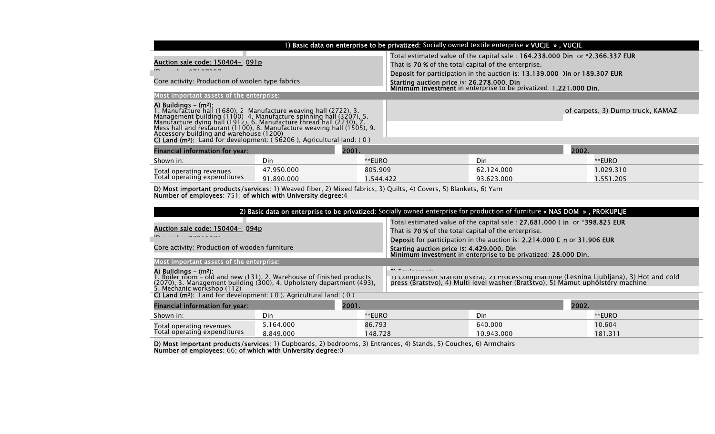| 1) Basic data on enterprise to be privatized: Socially owned textile enterprise « VUCJE », VUCJE                                                                                                                                                     |            |           |                                                                                                                                                                                                                    |            |       |                                  |
|------------------------------------------------------------------------------------------------------------------------------------------------------------------------------------------------------------------------------------------------------|------------|-----------|--------------------------------------------------------------------------------------------------------------------------------------------------------------------------------------------------------------------|------------|-------|----------------------------------|
| Auction sale code: 150404- 091p                                                                                                                                                                                                                      |            |           | Total estimated value of the capital sale: 164.238.000 Din or *2.366.337 EUR<br>That is 70 % of the total capital of the enterprise.<br>Deposit for participation in the auction is: 13.139.000 Jin or 189.307 EUR |            |       |                                  |
| Core activity: Production of woolen type fabrics                                                                                                                                                                                                     |            |           | Starting auction price is: 26.278.000. Din<br>Minimum investment in enterprise to be privatized: 1.221.000 Din.                                                                                                    |            |       |                                  |
| Most important assets of the enterprise:                                                                                                                                                                                                             |            |           |                                                                                                                                                                                                                    |            |       |                                  |
| <b>A) Buildings – (m<sup>2</sup>):</b><br>1. Manufacture hall (1680), 2 Manufacture weaving hall (2722), 3.<br>Management building (1100) 4. Manufacture spinning hall (3207), 5.<br>Manufacture dying hall (1912), 6. Manufacture thread hall (2230 |            |           |                                                                                                                                                                                                                    |            |       | of carpets, 3) Dump truck, KAMAZ |
| C) Land ( $m^2$ ): Land for development: (56206), Agricultural land: (0)                                                                                                                                                                             |            |           |                                                                                                                                                                                                                    |            |       |                                  |
| 2001.<br><b>Financial information for year:</b>                                                                                                                                                                                                      |            |           |                                                                                                                                                                                                                    |            | 2002. |                                  |
| Shown in:                                                                                                                                                                                                                                            | Din        | **EURO    |                                                                                                                                                                                                                    | Din        |       | **EURO                           |
| Total operating revenues                                                                                                                                                                                                                             | 47.950.000 | 805.909   |                                                                                                                                                                                                                    | 62.124.000 |       | 1.029.310                        |
| Total operating expenditures                                                                                                                                                                                                                         | 91.890.000 | 1.544.422 |                                                                                                                                                                                                                    | 93.623.000 |       | 1.551.205                        |

D) Most important products/services: 1) Weaved fiber, 2) Mixed fabrics, 3) Quilts, 4) Covers, 5) Blankets, 6) Yarn Number of employees: 751; of which with University degree:4

| 2) Basic data on enterprise to be privatized: Socially owned enterprise for production of furniture « NAS DOM », PROKUPLJE                                                            |                                                                                                                                                                                                          |  |  |  |  |
|---------------------------------------------------------------------------------------------------------------------------------------------------------------------------------------|----------------------------------------------------------------------------------------------------------------------------------------------------------------------------------------------------------|--|--|--|--|
| Auction sale code: 150404- 094p                                                                                                                                                       | Total estimated value of the capital sale: 27.681.000 I in or *398.825 EUR<br>That is 70 % of the total capital of the enterprise.                                                                       |  |  |  |  |
|                                                                                                                                                                                       | <b>Deposit</b> for participation in the auction is: 2.214.000 L n or 31.906 EUR                                                                                                                          |  |  |  |  |
| Core activity: Production of wooden furniture                                                                                                                                         | Starting auction price is: 4.429.000. Din<br>Minimum investment in enterprise to be privatized: 28.000 Din.                                                                                              |  |  |  |  |
| Most important assets of the enterprise:                                                                                                                                              |                                                                                                                                                                                                          |  |  |  |  |
| A) Buildings $-$ (m <sup>2</sup> ):<br>1. Boiler room - old and new (131), 2. Warehouse of finished products<br>(2070), 3. Management building (300), 4. Upholstery department (493), | <b>INVISTING COMPANY</b><br>1) Compressor station (Iskra), 2) Processing machine (Lesnina Ljubljana), 3) Hot and cold<br>press (Bratstvo), 4) Multi level washer (Bratstvo), 5) Mamut upholstery machine |  |  |  |  |
| 5. Mechanic workshop (112)                                                                                                                                                            |                                                                                                                                                                                                          |  |  |  |  |
| C) Land ( $m^2$ ): Land for development: (0), Agricultural land: (0)                                                                                                                  |                                                                                                                                                                                                          |  |  |  |  |

| <b>Financial information for year:</b> |           | 2001.   |            | 2002.   |  |
|----------------------------------------|-----------|---------|------------|---------|--|
| Shown in:                              | Din       | **EURO  | Din        | **EURO  |  |
| Total operating revenues               | 5.164.000 | 86.793  | 640.000    | 10.604  |  |
| Total operating expenditures           | 8.849.000 | 148.728 | 10.943.000 | 181.311 |  |

D) Most important products/services: 1) Cupboards, 2) bedrooms, 3) Entrances, 4) Stands, 5) Couches, 6) Armchairs Number of employees: 66; of which with University degree:0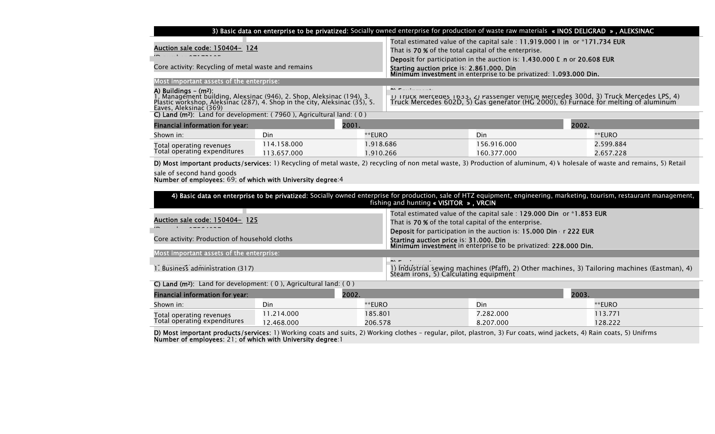| 3) Basic data on enterprise to be privatized: Socially owned enterprise for production of waste raw materials « INOS DELIGRAD », ALEKSINAC                                                 |                                                                                                                                                                              |  |  |  |
|--------------------------------------------------------------------------------------------------------------------------------------------------------------------------------------------|------------------------------------------------------------------------------------------------------------------------------------------------------------------------------|--|--|--|
|                                                                                                                                                                                            | Total estimated value of the capital sale: 11.919.000 I in or *171.734 EUR                                                                                                   |  |  |  |
| Auction sale code: 150404- 124                                                                                                                                                             | That is 70 % of the total capital of the enterprise.                                                                                                                         |  |  |  |
|                                                                                                                                                                                            | <b>Deposit</b> for participation in the auction is: 1.430.000 E n or 20.608 EUR                                                                                              |  |  |  |
| Core activity: Recycling of metal waste and remains                                                                                                                                        | Starting auction price is: 2.861.000. Din<br>Minimum investment in enterprise to be privatized: 1.093.000 Din.                                                               |  |  |  |
|                                                                                                                                                                                            |                                                                                                                                                                              |  |  |  |
| Most important assets of the enterprise:                                                                                                                                                   |                                                                                                                                                                              |  |  |  |
|                                                                                                                                                                                            | <b>INVITILITY CONTINUES</b>                                                                                                                                                  |  |  |  |
| <b>A) Buildings – (m²):</b><br>1. Management building, Aleksinac (946), 2. Shop, Aleksinac (194), 3.<br><u>P</u> lastic workshop, Aleksinac (287), 4. Shop in the city, Aleksinac (35), 5. | 1) Truck Merceaes 1633, 2) Passenger venicie Mercedes 300d, 3) Truck Mercedes LPS, 4)<br>Truck Mercedes 602D, 5) Gas generator (HG 2000), 6) Furnace for melting of aluminum |  |  |  |
| Eaves, Aleksinac (369)                                                                                                                                                                     |                                                                                                                                                                              |  |  |  |
| C) Land ( $m^2$ ): Land for development: (7960), Agricultural land: (0)                                                                                                                    |                                                                                                                                                                              |  |  |  |
| Einancial information for vear:<br>2001                                                                                                                                                    | つののつ                                                                                                                                                                         |  |  |  |

| <b>Financial information for year:</b> |            | 2001.    | 2002.       |           |
|----------------------------------------|------------|----------|-------------|-----------|
| Shown in:                              | Din        | **EURO   | Din         | **EURO    |
| Total operating revenues               | 14.158.000 | .918.686 | 156.916.000 | 2.599.884 |
| Total operating expenditures           | 13.657.000 | .910.266 | 160.377.000 | 2.657.228 |

D) Most important products/services: 1) Recycling of metal waste, 2) recycling of non metal waste, 3) Production of aluminum, 4) \ holesale of waste and remains, 5) Retail

sale of second hand goods Number of employees: 69; of which with University degree:4

| 4) Basic data on enterprise to be privatized: Socially owned enterprise for production, sale of HTZ equipment, engineering, marketing, tourism, restaurant management,<br>fishing and hunting « VISITOR $\overline{\phantom{a}}$ , VRCIN |                                                                                                                                                                                                          |  |  |  |  |
|------------------------------------------------------------------------------------------------------------------------------------------------------------------------------------------------------------------------------------------|----------------------------------------------------------------------------------------------------------------------------------------------------------------------------------------------------------|--|--|--|--|
| <u><b>Auction sale code: 150404- 125</b></u>                                                                                                                                                                                             | Total estimated value of the capital sale: 129.000 Din or *1.853 EUR<br>That is 70 % of the total capital of the enterprise.<br>Deposit for participation in the auction is: 15.000 Din r 222 EUR        |  |  |  |  |
| Core activity: Production of household cloths                                                                                                                                                                                            | Starting auction price is: 31.000. Din<br>Minimum investment in enterprise to be privatized: 228.000 Din.                                                                                                |  |  |  |  |
| Most important assets of the enterprise:                                                                                                                                                                                                 |                                                                                                                                                                                                          |  |  |  |  |
| 1. Business administration (317)                                                                                                                                                                                                         | $\mathbf{B}$ $\mathbf{A}$ . The second control of $\mathbf{B}$<br>1) Industrial sewing machines (Pfaff), 2) Other machines, 3) Tailoring machines (Eastman), 4)<br>Steam irons, 5) Calculating equipment |  |  |  |  |

C) Land (m2): Land for development: ( 0 ), Agricultural land: ( 0 )

| 2002.<br>Financial information for year: |            |         | 2003.     |        |
|------------------------------------------|------------|---------|-----------|--------|
| Shown in:                                | Din        | **EURO  | Din       | **EURO |
| Total operating revenues                 | 1.214.000  | 185.801 | 7.282.000 | 13.771 |
| Total operating expenditures             | 12.468.000 | 206.578 | 8.207.000 | 28.222 |

**D) Most important products/services**: 1) Working coats and suits, 2) Working clothes – regular, pilot, plastron, 3) Fur coats, wind jackets, 4) Rain coats, 5) Unifrms Number of employees: 21; of which with University degree:1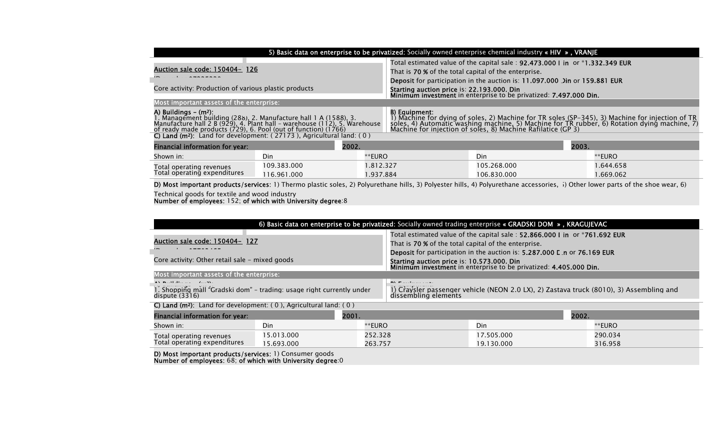| 5) Basic data on enterprise to be privatized: Socially owned enterprise chemical industry « HIV », VRANJE                                                                                                                                                                                                                                       |             |                                                                              |                                                                                                                                                                                                                                                       |                                                                            |       |           |
|-------------------------------------------------------------------------------------------------------------------------------------------------------------------------------------------------------------------------------------------------------------------------------------------------------------------------------------------------|-------------|------------------------------------------------------------------------------|-------------------------------------------------------------------------------------------------------------------------------------------------------------------------------------------------------------------------------------------------------|----------------------------------------------------------------------------|-------|-----------|
|                                                                                                                                                                                                                                                                                                                                                 |             | Total estimated value of the capital sale: 92.473.000 I in or *1.332.349 EUR |                                                                                                                                                                                                                                                       |                                                                            |       |           |
| Auction sale code: 150404- 126                                                                                                                                                                                                                                                                                                                  |             |                                                                              | That is 70 % of the total capital of the enterprise.                                                                                                                                                                                                  |                                                                            |       |           |
|                                                                                                                                                                                                                                                                                                                                                 |             |                                                                              |                                                                                                                                                                                                                                                       | Deposit for participation in the auction is: 11.097.000 Jin or 159.881 EUR |       |           |
| Core activity: Production of various plastic products                                                                                                                                                                                                                                                                                           |             |                                                                              | Starting auction price is: 22.193.000. Din<br>Minimum investment in enterprise to be privatized: 7.497.000 Din.                                                                                                                                       |                                                                            |       |           |
| Most important assets of the enterprise:                                                                                                                                                                                                                                                                                                        |             |                                                                              |                                                                                                                                                                                                                                                       |                                                                            |       |           |
| A) Buildings $-$ (m <sup>2</sup> ):<br>1. Management building (288), 2. Manufacture hall 1 A (1588), 3.<br>Manufacture hall 2 B (929), 4. Plant hall - warehouse (112), 5. Warehouse<br>of ready made products $(729)$ , 6. Pool (out of function) $(1766)$<br>C) Land (m <sup>2</sup> ): Land for development: (27173), Agricultural land: (0) |             |                                                                              | B) Equipment:<br>1) Machine for dying of soles, 2) Machine for TR soles (SP-345), 3) Machine for injection of TR<br>soles, 4) Automatic washing machine, 5) Machine for TR rubber, 6) Rotation dying machine, 7)<br>Machine for injection of soles, 8 |                                                                            |       |           |
| Financial information for year:                                                                                                                                                                                                                                                                                                                 | 2002.       |                                                                              |                                                                                                                                                                                                                                                       |                                                                            | 2003. |           |
| Shown in:                                                                                                                                                                                                                                                                                                                                       | Din         | **EURO                                                                       |                                                                                                                                                                                                                                                       | Din                                                                        |       | **EURO    |
| Total operating revenues                                                                                                                                                                                                                                                                                                                        | 109.383.000 | 1.812.327                                                                    |                                                                                                                                                                                                                                                       | 105.268.000                                                                |       | 1.644.658 |
| Total operating expenditures                                                                                                                                                                                                                                                                                                                    | 116.961.000 | 1.937.884                                                                    |                                                                                                                                                                                                                                                       | 106.830.000                                                                |       | 1.669.062 |

D) Most important products/services: 1) Thermo plastic soles, 2) Polyurethane hills, 3) Polyester hills, 4) Polyurethane accessories, i) Other lower parts of the shoe wear, 6)

Number of employees: 152; of which with University degree:8

| 6) Basic data on enterprise to be privatized: Socially owned trading enterprise « GRADSKI DOM », KRAGUJEVAC                                                                                                                                                                                                                                                                                                          |  |  |  |  |  |
|----------------------------------------------------------------------------------------------------------------------------------------------------------------------------------------------------------------------------------------------------------------------------------------------------------------------------------------------------------------------------------------------------------------------|--|--|--|--|--|
| Total estimated value of the capital sale: 52.866.000 I in or *761.692 EUR<br>Auction sale code: 150404- 127<br>That is 70 % of the total capital of the enterprise.<br>Deposit for participation in the auction is: 5.287.000 L n or 76.169 EUR                                                                                                                                                                     |  |  |  |  |  |
| Core activity: Other retail sale - mixed goods<br>Starting auction price is: 10.573.000. Din<br>Minimum investment in enterprise to be privatized: 4.405.000 Din.<br>Most important assets of the enterprise:                                                                                                                                                                                                        |  |  |  |  |  |
| $\mathbf{A}$ by $\mathbf{B}$ and $\mathbf{B}$ are $\mathbf{B}$ and $\mathbf{A}$ and $\mathbf{A}$ are $\mathbf{A}$ and $\mathbf{A}$<br>$\mathbf{P}$ $\mathbf{V}$ . The second control of $\mathbf{V}$<br>1) Craysler passenger vehicle (NEON 2.0 LX), 2) Zastava truck (8010), 3) Assembling and<br>1. Shopping mall "Gradski dom" - trading: usage right currently under<br>dissembling elements<br>dispute $(3316)$ |  |  |  |  |  |

C) Land (m<sup>2</sup>): Land for development: ( 0 ), Agricultural land: ( 0 ) Financial information for year: 2001. 2002.

| <b>I MARCIAL MOTORINATION TO YEAR.</b> | <u>LVVI.</u> |                 | LVVL.      |         |
|----------------------------------------|--------------|-----------------|------------|---------|
| Shown in:                              | Din          | ™EURO           | Din        | ™EURO   |
| Total operating revenues               | 5.013.000    | 252.328         | 17.505.000 | 290.034 |
| Total operating expenditures           | 15.693.000   | ニフロラ<br>263.757 | 19.130.000 | 316.958 |

D) Most important products/services: 1) Consumer goods Number of employees: 68; of which with University degree:0

Technical goods for textile and wood industry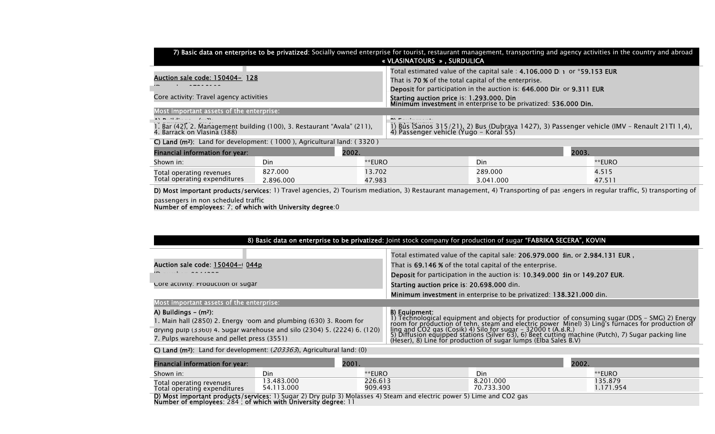| 7) Basic data on enterprise to be privatized: Socially owned enterprise for tourist, restaurant management, transporting and agency activities in the country and abroad<br>« VLASINATOURS », SURDULICA |                                                                                                                                        |  |  |  |  |
|---------------------------------------------------------------------------------------------------------------------------------------------------------------------------------------------------------|----------------------------------------------------------------------------------------------------------------------------------------|--|--|--|--|
| Total estimated value of the capital sale: 4.106.000 D  1 or *59.153 EUR                                                                                                                                |                                                                                                                                        |  |  |  |  |
| Auction sale code: 150404- 128                                                                                                                                                                          | That is 70 % of the total capital of the enterprise.                                                                                   |  |  |  |  |
|                                                                                                                                                                                                         | Deposit for participation in the auction is: 646.000 Dir. or 9.311 EUR                                                                 |  |  |  |  |
| Core activity: Travel agency activities                                                                                                                                                                 | Starting auction price is: 1.293.000. Din<br>Minimum investment in enterprise to be privatized: 536.000 Din.                           |  |  |  |  |
| Most important assets of the enterprise:                                                                                                                                                                |                                                                                                                                        |  |  |  |  |
| $\mathbf{A} \mathbf{A}$ . The distribution of $\mathbf{A}$ and $\mathbf{A} \mathbf{A}$<br><b>INTERNATIONAL PROPERTY</b>                                                                                 |                                                                                                                                        |  |  |  |  |
| 1. Bar (42), 2. Management building (100), 3. Restaurant "Avala" (211), 4. Barrack on Vlasina (388)                                                                                                     | 1) Bus (Sanos 315/21), 2) Bus (Dubrava 1427), 3) Passenger vehicle (IMV - Renault 21TI 1,4),<br>4) Passenger vehicle (Yugo – Koral 55) |  |  |  |  |

C) Land (m2): Land for development: ( 1000 ), Agricultural land: ( 3320 )

| Financial information for year: |          | 2002.  | 2003.     |        |
|---------------------------------|----------|--------|-----------|--------|
| Shown in:                       | Din      | **EURO | Din       | **EURO |
| Total operating revenues        | 827.000  | 3.702  | 289.000   | 4.515  |
| Total operating expenditures    | .896.000 | 47.983 | 3.041.000 | 47.51  |

D) Most important products/services: 1) Travel agencies, 2) Tourism mediation, 3) Restaurant management, 4) Transporting of passingers in regular traffic, 5) transporting of passengers in non scheduled traffic

Number of employees: 7; of which with University degree:0

| 8) Basic data on enterprise to be privatized: Joint stock company for production of sugar "FABRIKA SECERA", KOVIN                                                                                                                          |                                                                                                                                                                                                                                                                                                                                                                                                                                                                |  |  |  |
|--------------------------------------------------------------------------------------------------------------------------------------------------------------------------------------------------------------------------------------------|----------------------------------------------------------------------------------------------------------------------------------------------------------------------------------------------------------------------------------------------------------------------------------------------------------------------------------------------------------------------------------------------------------------------------------------------------------------|--|--|--|
| Auction sale code: 150404-0044p                                                                                                                                                                                                            | Total estimated value of the capital sale: 206.979.000 Jin. or 2.984.131 EUR,<br>That is 69.146 % of the total capital of the enterprise.<br>Deposit for participation in the auction is: 10.349.000 Jin or 149.207 EUR.                                                                                                                                                                                                                                       |  |  |  |
| Core activity: Production of sugar                                                                                                                                                                                                         | Starting auction price is: 20.698.000 din.<br>Minimum investment in enterprise to be privatized: 138.321.000 din.                                                                                                                                                                                                                                                                                                                                              |  |  |  |
| Most important assets of the enterprise:                                                                                                                                                                                                   |                                                                                                                                                                                                                                                                                                                                                                                                                                                                |  |  |  |
| A) Buildings $-$ (m <sup>2</sup> ):<br>1. Main hall (2850) 2. Energy room and plumbing (630) 3. Room for<br>drying pulp $(3360)$ 4. Sugar warehouse and silo $(2304)$ 5. $(2224)$ 6. $(120)$<br>7. Pulps warehouse and pellet press (3551) | B) Equipment:<br>1) Technological equipment and objects for productior of consuming sugar (DDS – SMG) 2) Energy<br>room for production of tehn, steam and electric power Minel) 3) Ling's furnaces for production of<br>ling and CO2 gas (Cosik) 4) Silo for sugar - 32000 t (A.B.R.)<br>5) Diffusion equipped stations (Silver 63), 6) Beet cutting machine (Putch), 7) Sugar packing line<br>(Heser), 8) Line for production of sugar lumps (Elba Sales B.V) |  |  |  |

C) Land (m<sup>2</sup>): Land for development:  $(203363)$ , Agricultural land: (0)

| Financial information for year:                                                                                       |                         | 2001.              |                         | 2002.               |  |
|-----------------------------------------------------------------------------------------------------------------------|-------------------------|--------------------|-------------------------|---------------------|--|
| Shown in:                                                                                                             | Din                     | **EURO             | Din                     | **EURO              |  |
| Total operating revenues<br>Total operating expenditures                                                              | 3.483.000<br>54.113.000 | 226.613<br>909.493 | 8.201.000<br>70.733.300 | 135.879<br>.171.954 |  |
| D) Most important products/services: 1) Sugar 2) Dry pulp 3) Molasses 4) Steam and electric power 5) Lime and CO2 gas |                         |                    |                         |                     |  |

D) Most important products/services: 1) Sugar 2) Dry pulp 3) Mol<br>Number of employees: 284 ; of which with University degree: 11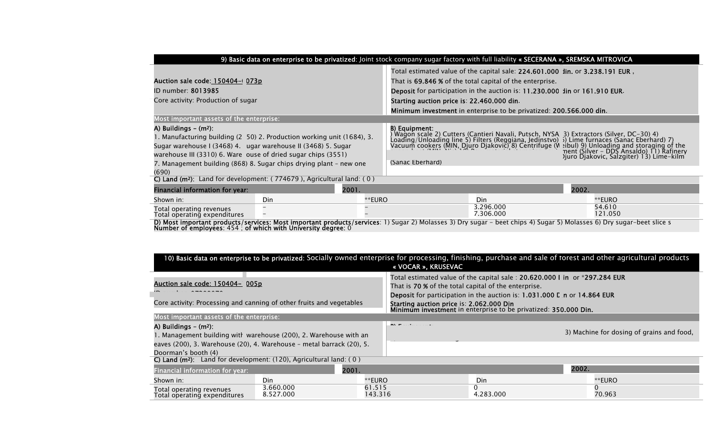|                                                                                                                                                                                                                                                                                                                                                                            | 9) Basic data on enterprise to be privatized: Joint stock company sugar factory with full liability « SECERANA », SREMSKA MITROVICA |        |                                                                                                                                                                                                                                                                                                                                               |                        |                                                                                                                                                                                                                                                                                   |  |  |
|----------------------------------------------------------------------------------------------------------------------------------------------------------------------------------------------------------------------------------------------------------------------------------------------------------------------------------------------------------------------------|-------------------------------------------------------------------------------------------------------------------------------------|--------|-----------------------------------------------------------------------------------------------------------------------------------------------------------------------------------------------------------------------------------------------------------------------------------------------------------------------------------------------|------------------------|-----------------------------------------------------------------------------------------------------------------------------------------------------------------------------------------------------------------------------------------------------------------------------------|--|--|
| Auction sale code: 150404-073p<br>ID number: 8013985<br>Core activity: Production of sugar                                                                                                                                                                                                                                                                                 |                                                                                                                                     |        | Total estimated value of the capital sale: 224.601.000 Jin. or 3.238.191 EUR,<br>That is 69.846 % of the total capital of the enterprise.<br>Deposit for participation in the auction is: 11.230.000 Jin or 161.910 EUR.<br>Starting auction price is: 22.460.000 din.<br>Minimum investment in enterprise to be privatized: 200.566.000 din. |                        |                                                                                                                                                                                                                                                                                   |  |  |
| Most important assets of the enterprise:<br>A) Buildings $-$ (m <sup>2</sup> ):<br>1. Manufacturing building (2 50) 2. Production working unit (1684), 3.<br>Sugar warehouse I (3468) 4. ugar warehouse II (3468) 5. Sugar<br>warehouse III (3310) 6. Ware ouse of dried sugar chips (3551)<br>7. Management building (868) 8. Sugar chips drying plant – new one<br>(690) |                                                                                                                                     |        | B) Equipment:<br>(Sanac Eberhard)                                                                                                                                                                                                                                                                                                             |                        | By Equipment, Wagon scale 2) Cutters (Cantieri Navali, Putsch, NYSA 3) Extractors (Silver, DC–30) 4)<br>Loading/Unloading line 5) Filters (Reggiana, Jedinstvo) 3) Lime furnaces (Sanac Eberhard) 7)<br>Vacuum cookers (MIN, Diuro D<br>) juro Djakovic, Salzgiter) 13) Lime-kilm |  |  |
| C) Land ( $m^2$ ): Land for development: ( $774679$ ), Agricultural land: (0)                                                                                                                                                                                                                                                                                              |                                                                                                                                     |        |                                                                                                                                                                                                                                                                                                                                               |                        |                                                                                                                                                                                                                                                                                   |  |  |
| Financial information for year:                                                                                                                                                                                                                                                                                                                                            | 2001.                                                                                                                               |        |                                                                                                                                                                                                                                                                                                                                               |                        | 2002.                                                                                                                                                                                                                                                                             |  |  |
| Shown in:                                                                                                                                                                                                                                                                                                                                                                  | Din                                                                                                                                 | **EURO |                                                                                                                                                                                                                                                                                                                                               | Din                    | **EURO                                                                                                                                                                                                                                                                            |  |  |
| Total operating revenues<br>Total operating expenditures                                                                                                                                                                                                                                                                                                                   |                                                                                                                                     |        |                                                                                                                                                                                                                                                                                                                                               | 3.296.000<br>7.306.000 | 54.610<br>121.050                                                                                                                                                                                                                                                                 |  |  |

D) Most important products/services: Most important products/services: 1) Sugar 2) Molasses 3) Dry sugar – beet chips 4) Sugar 5) Molasses 6) Dry sugar–beet slice s<br>Number of employees: 454 ; of which with University degre

| 10) Basic data on enterprise to be privatized: Socially owned enterprise for processing, finishing, purchase and sale of torest and other agricultural products<br>« VOCAR », KRUSEVAC                                                                                                                                                                                                                                                                  |                        |                   |                                                                   |           |       |                                           |
|---------------------------------------------------------------------------------------------------------------------------------------------------------------------------------------------------------------------------------------------------------------------------------------------------------------------------------------------------------------------------------------------------------------------------------------------------------|------------------------|-------------------|-------------------------------------------------------------------|-----------|-------|-------------------------------------------|
| Total estimated value of the capital sale : 20.620.000 I in or *297.284 EUR<br><u>Auction sale code: 150404– 005p</u><br>That is <b>70 %</b> of the total capital of the enterprise.<br>Deposit for participation in the auction is: 1.031.000 L n or 14.864 EUR<br>Core activity: Processing and canning of other fruits and vegetables<br>Starting auction price is: 2.062.000 Din<br>Minimum investment in enterprise to be privatized: 350.000 Din. |                        |                   |                                                                   |           |       |                                           |
| Most important assets of the enterprise:                                                                                                                                                                                                                                                                                                                                                                                                                |                        |                   |                                                                   |           |       |                                           |
| A) Buildings $-$ (m <sup>2</sup> ):<br>1. Management building with warehouse (200), 2. Warehouse with an<br>eaves (200), 3. Warehouse (20), 4. Warehouse - metal barrack (20), 5.                                                                                                                                                                                                                                                                       |                        |                   | $\mathbf{P}$ $\mathbf{A}$ $\mathbf{F}$ and a state and a state of |           |       | 3) Machine for dosing of grains and food, |
| Doorman's booth (4)                                                                                                                                                                                                                                                                                                                                                                                                                                     |                        |                   |                                                                   |           |       |                                           |
| C) Land ( $m^2$ ): Land for development: (120), Agricultural land: (0)                                                                                                                                                                                                                                                                                                                                                                                  |                        |                   |                                                                   |           |       |                                           |
| Financial information for year:                                                                                                                                                                                                                                                                                                                                                                                                                         |                        | 2001.             |                                                                   |           | 2002. |                                           |
| Shown in:                                                                                                                                                                                                                                                                                                                                                                                                                                               | Din                    | **EURO            |                                                                   | Din       |       | **EURO                                    |
| Total operating revenues<br>Total operating expenditures                                                                                                                                                                                                                                                                                                                                                                                                | 3.660.000<br>8.527.000 | 61.515<br>143.316 |                                                                   | 4.283.000 |       | 70.963                                    |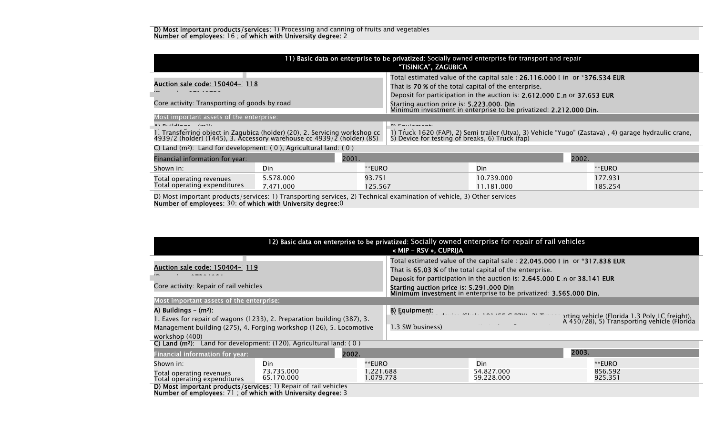#### D) Most important products/services: 1) Processing and canning of fruits and vegetables Number of employees: 16 ; of which with University degree: 2

| 11) Basic data on enterprise to be privatized: Socially owned enterprise for transport and repair<br>"TISINICA", ZAGUBICA                                                                                                                                     |     |                                                                                                                |                                        |            |       |                                                                                                                                                          |
|---------------------------------------------------------------------------------------------------------------------------------------------------------------------------------------------------------------------------------------------------------------|-----|----------------------------------------------------------------------------------------------------------------|----------------------------------------|------------|-------|----------------------------------------------------------------------------------------------------------------------------------------------------------|
| Total estimated value of the capital sale : 26.116.000 I in $\,$ or *376.534 EUR<br><u>Auction sale code: 150404- 118</u><br>That is 70 % of the total capital of the enterprise.<br>Deposit for participation in the auction is: 2.612.000 E n or 37.653 EUR |     |                                                                                                                |                                        |            |       |                                                                                                                                                          |
| Core activity: Transporting of goods by road                                                                                                                                                                                                                  |     | Starting auction price is: 5.223.000. Din<br>Minimum investment in enterprise to be privatized: 2.212.000 Din. |                                        |            |       |                                                                                                                                                          |
| Most important assets of the enterprise:                                                                                                                                                                                                                      |     |                                                                                                                |                                        |            |       |                                                                                                                                                          |
| $\mathbf{A}$ $\mathbf{B}$ $\mathbf{B}$ $\mathbf{C}$ $\mathbf{A}$ $\mathbf{C}$<br>1. Transferring object in Zagubica (holder) (20), 2. Servicing workshop cc<br>4939/2 (holder) (1445), 3. Accessory warehouse cc 4939/2 (holder) (85)                         |     |                                                                                                                | $\mathbf{m}$ $\mathbf{r}$ $\mathbf{r}$ |            |       | 1) Truck 1620 (FAP), 2) Semi trailer (Utva), 3) Vehicle "Yugo" (Zastava) , 4) garage hydraulic crane,<br>5) Device for testing of breaks, 6) Truck (fap) |
| C) Land $(m^2)$ : Land for development: $(0)$ , Agricultural land: $(0)$                                                                                                                                                                                      |     |                                                                                                                |                                        |            |       |                                                                                                                                                          |
| Financial information for year:                                                                                                                                                                                                                               |     | 2001.                                                                                                          |                                        |            | 2002. |                                                                                                                                                          |
| Shown in:                                                                                                                                                                                                                                                     | Din | **EURO                                                                                                         |                                        | Din        |       | **EURO                                                                                                                                                   |
| 5.578.000<br>Total operating revenues<br>Total operating expenditures<br>7.471.000                                                                                                                                                                            |     | 93.751                                                                                                         |                                        | 10.739.000 |       | 177.931                                                                                                                                                  |
|                                                                                                                                                                                                                                                               |     | 125.567                                                                                                        |                                        | 11.181.000 |       | 185.254                                                                                                                                                  |

D) Most important products/services: 1) Transporting services, 2) Technical examination of vehicle, 3) Other services Number of employees: 30; of which with University degree:0

| 12) Basic data on enterprise to be privatized: Socially owned enterprise for repair of rail vehicles<br>« MIP – RSV », CUPRIJA                                                                         |                          |                        |                                                                                                                                                                                                                                                                                                                                                |                                                                   |       |                                                                                              |
|--------------------------------------------------------------------------------------------------------------------------------------------------------------------------------------------------------|--------------------------|------------------------|------------------------------------------------------------------------------------------------------------------------------------------------------------------------------------------------------------------------------------------------------------------------------------------------------------------------------------------------|-------------------------------------------------------------------|-------|----------------------------------------------------------------------------------------------|
| Auction sale code: 150404- 119<br>Core activity: Repair of rail vehicles                                                                                                                               |                          |                        | Total estimated value of the capital sale : $22.045.000$ I in or $*317.838$ EUR<br>That is 65.03 % of the total capital of the enterprise.<br><b>Deposit</b> for participation in the auction is: 2.645.000 L n or 38.141 EUR<br>Starting auction price is: 5.291.000 Din<br>Minimum investment in enterprise to be privatized: 3.565.000 Din. |                                                                   |       |                                                                                              |
| Most important assets of the enterprise:                                                                                                                                                               |                          |                        |                                                                                                                                                                                                                                                                                                                                                |                                                                   |       |                                                                                              |
| A) Buildings $-$ (m <sup>2</sup> ):<br>. Eaves for repair of wagons (1233), 2. Preparation building (387), 3.<br>Management building (275), 4. Forging workshop (126), 5. Locomotive<br>workshop (400) |                          |                        | B) Equipment:<br>1.3 SW business)                                                                                                                                                                                                                                                                                                              | $(2)$ $(1)$ $(2)$ $(2)$ $(3)$ $(4)$ $(5)$ $(6)$ $(7)$ $(8)$ $(9)$ |       | orting vehicle (Florida 1.3 Poly LC freight),<br>A 450/28), 5) Transporting vehicle (Florida |
| C) Land $(m^2)$ : Land for development: (120), Agricultural land: (0)                                                                                                                                  |                          |                        |                                                                                                                                                                                                                                                                                                                                                |                                                                   |       |                                                                                              |
| Financial information for year:                                                                                                                                                                        |                          | 2002.                  |                                                                                                                                                                                                                                                                                                                                                |                                                                   | 2003. |                                                                                              |
| Shown in:                                                                                                                                                                                              | Din                      | **EURO                 |                                                                                                                                                                                                                                                                                                                                                | Din                                                               |       | **EURO                                                                                       |
| Total operating revenues<br>Total operating expenditures                                                                                                                                               | 73.735.000<br>65.170.000 | 1.221.688<br>1.079.778 |                                                                                                                                                                                                                                                                                                                                                | 54.827.000<br>59.228.000                                          |       | 856.592<br>925.351                                                                           |
| D) Most important products/services: 1) Repair of rail vehicles<br>Number of employees: 71; of which with University degree: 3                                                                         |                          |                        |                                                                                                                                                                                                                                                                                                                                                |                                                                   |       |                                                                                              |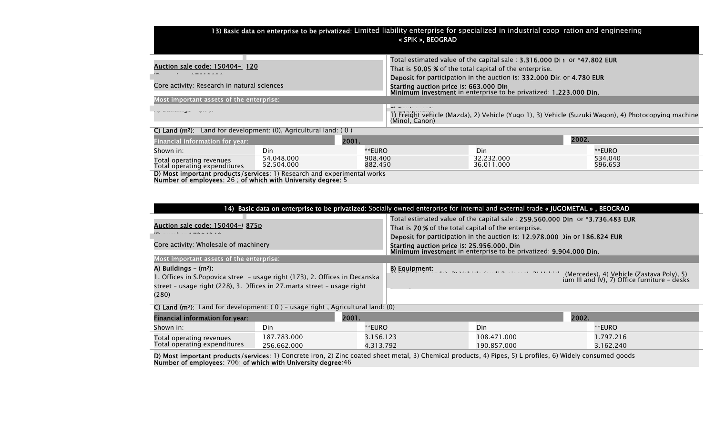### 13) Basic data on enterprise to be privatized: Limited liability enterprise for specialized in industrial coop ration and engineering « SPIK », BEOGRAD

| Auction sale code: 150404- 120                                                    | Total estimated value of the capital sale: 3.316.000 D 1 or *47.802 EUR<br>That is 50.05 % of the total capital of the enterprise.<br>Deposit for participation in the auction is: 332.000 Dir. or 4.780 EUR |
|-----------------------------------------------------------------------------------|--------------------------------------------------------------------------------------------------------------------------------------------------------------------------------------------------------------|
| Core activity: Research in natural sciences                                       | Starting auction price is: 663.000 Din<br>Minimum investment in enterprise to be privatized: 1.223.000 Din.                                                                                                  |
| Most important assets of the enterprise:                                          |                                                                                                                                                                                                              |
|                                                                                   | <b>INVESTIGATION</b><br>1) Freight vehicle (Mazda), 2) Vehicle (Yugo 1), 3) Vehicle (Suzuki Wagon), 4) Photocopying machine<br>(Minol, Canon)                                                                |
| <b>C) Land (m<sup>2</sup>):</b> Land for development: (0), Agricultural land: (0) |                                                                                                                                                                                                              |
|                                                                                   | $\sum_{n=1}^{\infty}$                                                                                                                                                                                        |

| <b>Financial information for year:</b>                   |                          | 2001.              | 2002.                    |                    |
|----------------------------------------------------------|--------------------------|--------------------|--------------------------|--------------------|
| Shown in:                                                | Din                      | **EURO             | Din                      | **EURO             |
| Total operating revenues<br>Total operating expenditures | 54.048.000<br>52.504.000 | 908.400<br>882.450 | 32.232.000<br>36.011.000 | 534.040<br>596.653 |

D) Most important products/services: 1) Research and experimental works Number of employees: 26 ; of which with University degree: 5

| 14) Basic data on enterprise to be privatized: Socially owned enterprise for internal and external trade « JUGOMETAL », BEOGRAD                                                               |                                                                                                                                                                                                                                                                                                                                       |  |  |  |  |
|-----------------------------------------------------------------------------------------------------------------------------------------------------------------------------------------------|---------------------------------------------------------------------------------------------------------------------------------------------------------------------------------------------------------------------------------------------------------------------------------------------------------------------------------------|--|--|--|--|
| Auction sale code: 150404-1875p<br>Core activity: Wholesale of machinery                                                                                                                      | Total estimated value of the capital sale: 259.560.000 Din or *3.736.483 EUR<br>That is 70 % of the total capital of the enterprise.<br>Deposit for participation in the auction is: 12.978.000 Jin or 186.824 EUR<br>Starting auction price is: 25.956.000. Din<br>Minimum investment in enterprise to be privatized: 9.904.000 Din. |  |  |  |  |
| Most important assets of the enterprise:                                                                                                                                                      |                                                                                                                                                                                                                                                                                                                                       |  |  |  |  |
| A) Buildings $-$ (m <sup>2</sup> ):<br>1. Offices in S. Popovica stree - usage right (173), 2. Offices in Decanska<br>street - usage right (228), 3. Offices in 27 marta street - usage right | B) Equipment:<br>(Mercedes), 4) Vehicle (Zastava Poly), 5)<br>ium III and IV), 7) Office furniture - desks                                                                                                                                                                                                                            |  |  |  |  |
| (280)                                                                                                                                                                                         |                                                                                                                                                                                                                                                                                                                                       |  |  |  |  |

C) Land ( $m^2$ ): Land for development: (0) - usage right, Agricultural land: (0)

| Financial information for year: |             | 2001.     | 2002.       |           |
|---------------------------------|-------------|-----------|-------------|-----------|
| Shown in:                       | Din         | **EURO    | Din         | **EURO    |
| Total operating revenues        | 187.783.000 | 156.123 . | 108.471.000 | 1.797.216 |
| Total operating expenditures    | 256.662.000 | 4.313.792 | 190.857.000 | 3.162.240 |

**D) Most important products/services:** 1) Concrete iron, 2) Zinc coated sheet metal, 3) Chemical products, 4) Pipes, 5) L profiles, 6) Widely consumed goods Number of employees: 706; of which with University degree:46